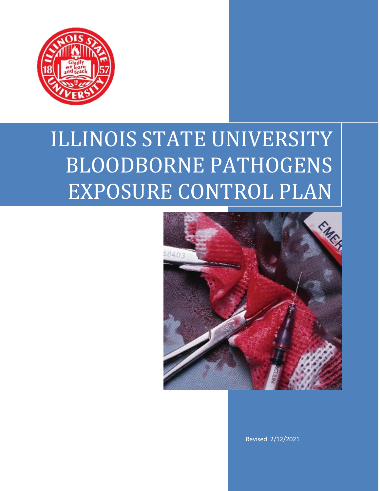

# ILLINOIS STATE UNIVERSITY BLOODBORNE PATHOGENS EXPOSURE CONTROL PLAN



Revised 2/12/2021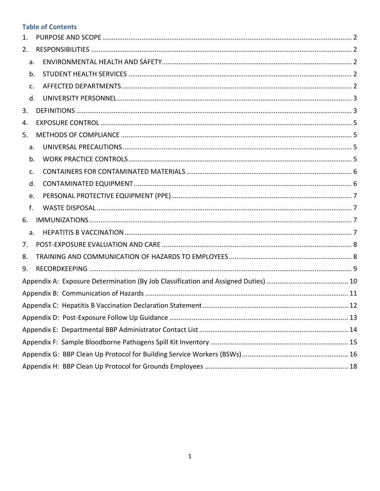## **Table of Contents**

| 1. |    |  |
|----|----|--|
| 2. |    |  |
|    | a. |  |
|    | b. |  |
|    | c. |  |
|    | d. |  |
| 3. |    |  |
| 4. |    |  |
| 5. |    |  |
|    | a. |  |
|    | b. |  |
|    | c. |  |
|    | d. |  |
|    | e. |  |
|    | f. |  |
| 6. |    |  |
|    | a. |  |
| 7. |    |  |
| 8. |    |  |
| 9. |    |  |
|    |    |  |
|    |    |  |
|    |    |  |
|    |    |  |
|    |    |  |
|    |    |  |
|    |    |  |
|    |    |  |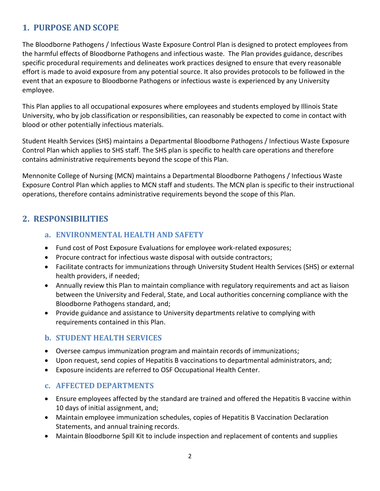## <span id="page-2-0"></span>**1. PURPOSE AND SCOPE**

The Bloodborne Pathogens / Infectious Waste Exposure Control Plan is designed to protect employees from the harmful effects of Bloodborne Pathogens and infectious waste. The Plan provides guidance, describes specific procedural requirements and delineates work practices designed to ensure that every reasonable effort is made to avoid exposure from any potential source. It also provides protocols to be followed in the event that an exposure to Bloodborne Pathogens or infectious waste is experienced by any University employee.

This Plan applies to all occupational exposures where employees and students employed by Illinois State University, who by job classification or responsibilities, can reasonably be expected to come in contact with blood or other potentially infectious materials.

Student Health Services (SHS) maintains a Departmental Bloodborne Pathogens / Infectious Waste Exposure Control Plan which applies to SHS staff. The SHS plan is specific to health care operations and therefore contains administrative requirements beyond the scope of this Plan.

Mennonite College of Nursing (MCN) maintains a Departmental Bloodborne Pathogens / Infectious Waste Exposure Control Plan which applies to MCN staff and students. The MCN plan is specific to their instructional operations, therefore contains administrative requirements beyond the scope of this Plan.

## <span id="page-2-2"></span><span id="page-2-1"></span>**2. RESPONSIBILITIES**

## **a. ENVIRONMENTAL HEALTH AND SAFETY**

- Fund cost of Post Exposure Evaluations for employee work-related exposures;
- Procure contract for infectious waste disposal with outside contractors;
- Facilitate contracts for immunizations through University Student Health Services (SHS) or external health providers, if needed;
- Annually review this Plan to maintain compliance with regulatory requirements and act as liaison between the University and Federal, State, and Local authorities concerning compliance with the Bloodborne Pathogens standard, and;
- Provide guidance and assistance to University departments relative to complying with requirements contained in this Plan.

#### <span id="page-2-3"></span>**b. STUDENT HEALTH SERVICES**

- Oversee campus immunization program and maintain records of immunizations;
- Upon request, send copies of Hepatitis B vaccinations to departmental administrators, and;
- Exposure incidents are referred to OSF Occupational Health Center.

#### <span id="page-2-4"></span>**c. AFFECTED DEPARTMENTS**

- Ensure employees affected by the standard are trained and offered the Hepatitis B vaccine within 10 days of initial assignment, and;
- Maintain employee immunization schedules, copies of Hepatitis B Vaccination Declaration Statements, and annual training records.
- Maintain Bloodborne Spill Kit to include inspection and replacement of contents and supplies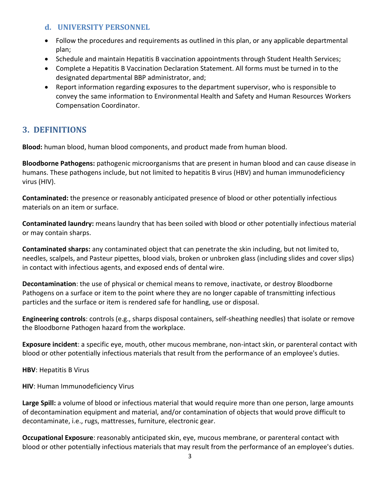#### <span id="page-3-0"></span>**d. UNIVERSITY PERSONNEL**

- Follow the procedures and requirements as outlined in this plan, or any applicable departmental plan;
- Schedule and maintain Hepatitis B vaccination appointments through Student Health Services;
- Complete a Hepatitis B Vaccination Declaration Statement. All forms must be turned in to the designated departmental BBP administrator, and;
- Report information regarding exposures to the department supervisor, who is responsible to convey the same information to Environmental Health and Safety and Human Resources Workers Compensation Coordinator.

## <span id="page-3-1"></span>**3. DEFINITIONS**

**Blood:** human blood, human blood components, and product made from human blood.

**Bloodborne Pathogens:** pathogenic microorganisms that are present in human blood and can cause disease in humans. These pathogens include, but not limited to hepatitis B virus (HBV) and human immunodeficiency virus (HIV).

**Contaminated:** the presence or reasonably anticipated presence of blood or other potentially infectious materials on an item or surface.

**Contaminated laundry:** means laundry that has been soiled with blood or other potentially infectious material or may contain sharps.

**Contaminated sharps:** any contaminated object that can penetrate the skin including, but not limited to, needles, scalpels, and Pasteur pipettes, blood vials, broken or unbroken glass (including slides and cover slips) in contact with infectious agents, and exposed ends of dental wire.

**Decontamination**: the use of physical or chemical means to remove, inactivate, or destroy Bloodborne Pathogens on a surface or item to the point where they are no longer capable of transmitting infectious particles and the surface or item is rendered safe for handling, use or disposal.

**Engineering controls**: controls (e.g., sharps disposal containers, self-sheathing needles) that isolate or remove the Bloodborne Pathogen hazard from the workplace.

**Exposure incident**: a specific eye, mouth, other mucous membrane, non-intact skin, or parenteral contact with blood or other potentially infectious materials that result from the performance of an employee's duties.

**HBV**: Hepatitis B Virus

**HIV**: Human Immunodeficiency Virus

**Large Spill:** a volume of blood or infectious material that would require more than one person, large amounts of decontamination equipment and material, and/or contamination of objects that would prove difficult to decontaminate, i.e., rugs, mattresses, furniture, electronic gear.

**Occupational Exposure**: reasonably anticipated skin, eye, mucous membrane, or parenteral contact with blood or other potentially infectious materials that may result from the performance of an employee's duties.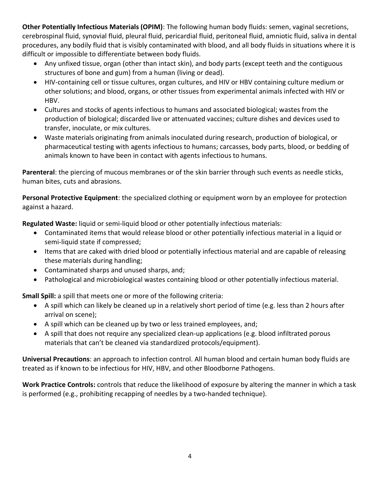**Other Potentially Infectious Materials (OPIM)**: The following human body fluids: semen, vaginal secretions, cerebrospinal fluid, synovial fluid, pleural fluid, pericardial fluid, peritoneal fluid, amniotic fluid, saliva in dental procedures, any bodily fluid that is visibly contaminated with blood, and all body fluids in situations where it is difficult or impossible to differentiate between body fluids.

- Any unfixed tissue, organ (other than intact skin), and body parts (except teeth and the contiguous structures of bone and gum) from a human (living or dead).
- HIV-containing cell or tissue cultures, organ cultures, and HIV or HBV containing culture medium or other solutions; and blood, organs, or other tissues from experimental animals infected with HIV or HBV.
- Cultures and stocks of agents infectious to humans and associated biological; wastes from the production of biological; discarded live or attenuated vaccines; culture dishes and devices used to transfer, inoculate, or mix cultures.
- Waste materials originating from animals inoculated during research, production of biological, or pharmaceutical testing with agents infectious to humans; carcasses, body parts, blood, or bedding of animals known to have been in contact with agents infectious to humans.

**Parenteral**: the piercing of mucous membranes or of the skin barrier through such events as needle sticks, human bites, cuts and abrasions.

**Personal Protective Equipment**: the specialized clothing or equipment worn by an employee for protection against a hazard.

**Regulated Waste:** liquid or semi-liquid blood or other potentially infectious materials:

- Contaminated items that would release blood or other potentially infectious material in a liquid or semi-liquid state if compressed;
- Items that are caked with dried blood or potentially infectious material and are capable of releasing these materials during handling;
- Contaminated sharps and unused sharps, and;
- Pathological and microbiological wastes containing blood or other potentially infectious material.

**Small Spill:** a spill that meets one or more of the following criteria:

- A spill which can likely be cleaned up in a relatively short period of time (e.g. less than 2 hours after arrival on scene);
- A spill which can be cleaned up by two or less trained employees, and;
- A spill that does not require any specialized clean-up applications (e.g. blood infiltrated porous materials that can't be cleaned via standardized protocols/equipment).

**Universal Precautions**: an approach to infection control. All human blood and certain human body fluids are treated as if known to be infectious for HIV, HBV, and other Bloodborne Pathogens.

**Work Practice Controls:** controls that reduce the likelihood of exposure by altering the manner in which a task is performed (e.g., prohibiting recapping of needles by a two-handed technique).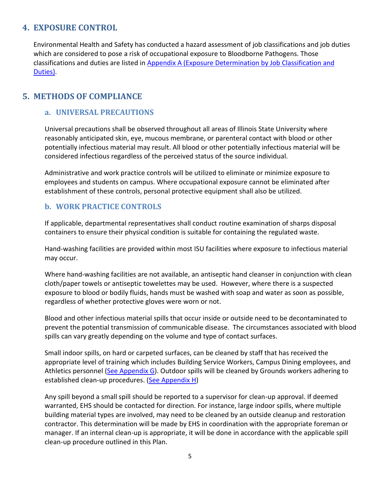## <span id="page-5-0"></span>**4. EXPOSURE CONTROL**

Environmental Health and Safety has conducted a hazard assessment of job classifications and job duties which are considered to pose a risk of occupational exposure to Bloodborne Pathogens. Those classifications and duties are listed in [Appendix A \(Exposure Determination by Job Classification and](#page-10-0)  [Duties\).](#page-10-0)

## <span id="page-5-2"></span><span id="page-5-1"></span>**5. METHODS OF COMPLIANCE**

#### **a. UNIVERSAL PRECAUTIONS**

Universal precautions shall be observed throughout all areas of Illinois State University where reasonably anticipated skin, eye, mucous membrane, or parenteral contact with blood or other potentially infectious material may result. All blood or other potentially infectious material will be considered infectious regardless of the perceived status of the source individual.

Administrative and work practice controls will be utilized to eliminate or minimize exposure to employees and students on campus. Where occupational exposure cannot be eliminated after establishment of these controls, personal protective equipment shall also be utilized.

#### <span id="page-5-3"></span>**b. WORK PRACTICE CONTROLS**

If applicable, departmental representatives shall conduct routine examination of sharps disposal containers to ensure their physical condition is suitable for containing the regulated waste.

Hand-washing facilities are provided within most ISU facilities where exposure to infectious material may occur.

Where hand-washing facilities are not available, an antiseptic hand cleanser in conjunction with clean cloth/paper towels or antiseptic towelettes may be used. However, where there is a suspected exposure to blood or bodily fluids, hands must be washed with soap and water as soon as possible, regardless of whether protective gloves were worn or not.

Blood and other infectious material spills that occur inside or outside need to be decontaminated to prevent the potential transmission of communicable disease. The circumstances associated with blood spills can vary greatly depending on the volume and type of contact surfaces.

Small indoor spills, on hard or carpeted surfaces, can be cleaned by staff that has received the appropriate level of training which includes Building Service Workers, Campus Dining employees, and Athletics personnel [\(See Appendix G\)](#page-16-0). Outdoor spills will be cleaned by Grounds workers adhering to established clean-up procedures. [\(See Appendix H\)](#page-18-0)

Any spill beyond a small spill should be reported to a supervisor for clean-up approval. If deemed warranted, EHS should be contacted for direction. For instance, large indoor spills, where multiple building material types are involved, may need to be cleaned by an outside cleanup and restoration contractor. This determination will be made by EHS in coordination with the appropriate foreman or manager. If an internal clean-up is appropriate, it will be done in accordance with the applicable spill clean-up procedure outlined in this Plan.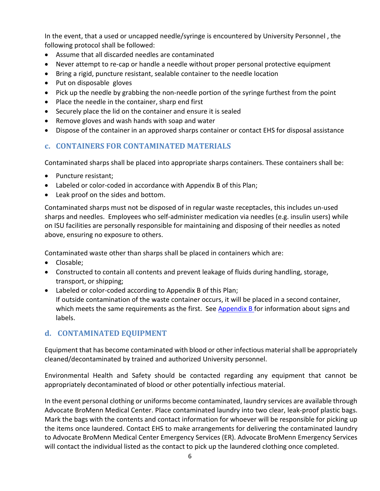In the event, that a used or uncapped needle/syringe is encountered by University Personnel , the following protocol shall be followed:

- Assume that all discarded needles are contaminated
- Never attempt to re-cap or handle a needle without proper personal protective equipment
- Bring a rigid, puncture resistant, sealable container to the needle location
- Put on disposable gloves
- Pick up the needle by grabbing the non-needle portion of the syringe furthest from the point
- Place the needle in the container, sharp end first
- Securely place the lid on the container and ensure it is sealed
- Remove gloves and wash hands with soap and water
- Dispose of the container in an approved sharps container or contact EHS for disposal assistance

## <span id="page-6-0"></span>**c. CONTAINERS FOR CONTAMINATED MATERIALS**

Contaminated sharps shall be placed into appropriate sharps containers. These containers shall be:

- Puncture resistant;
- Labeled or color-coded in accordance with Appendix B of this Plan;
- Leak proof on the sides and bottom.

Contaminated sharps must not be disposed of in regular waste receptacles, this includes un-used sharps and needles. Employees who self-administer medication via needles (e.g. insulin users) while on ISU facilities are personally responsible for maintaining and disposing of their needles as noted above, ensuring no exposure to others.

Contaminated waste other than sharps shall be placed in containers which are:

- Closable;
- Constructed to contain all contents and prevent leakage of fluids during handling, storage, transport, or shipping;
- Labeled or color-coded according to Appendix B of this Plan; If outside contamination of the waste container occurs, it will be placed in a second container, which meets the same requirements as the first. See Appendix B for information about signs and labels.

## <span id="page-6-1"></span>**d. CONTAMINATED EQUIPMENT**

Equipment that has become contaminated with blood or other infectious material shall be appropriately cleaned/decontaminated by trained and authorized University personnel.

Environmental Health and Safety should be contacted regarding any equipment that cannot be appropriately decontaminated of blood or other potentially infectious material.

In the event personal clothing or uniforms become contaminated, laundry services are available through Advocate BroMenn Medical Center. Place contaminated laundry into two clear, leak-proof plastic bags. Mark the bags with the contents and contact information for whoever will be responsible for picking up the items once laundered. Contact EHS to make arrangements for delivering the contaminated laundry to Advocate BroMenn Medical Center Emergency Services (ER). Advocate BroMenn Emergency Services will contact the individual listed as the contact to pick up the laundered clothing once completed.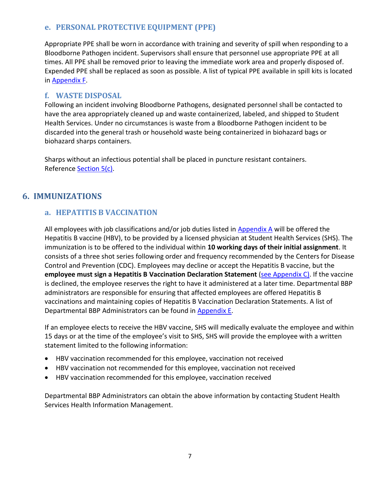## <span id="page-7-0"></span>**e. PERSONAL PROTECTIVE EQUIPMENT (PPE)**

Appropriate PPE shall be worn in accordance with training and severity of spill when responding to a Bloodborne Pathogen incident. Supervisors shall ensure that personnel use appropriate PPE at all times. All PPE shall be removed prior to leaving the immediate work area and properly disposed of. Expended PPE shall be replaced as soon as possible. A list of typical PPE available in spill kits is located in [Appendix F.](#page-15-0)

#### <span id="page-7-1"></span>**f. WASTE DISPOSAL**

Following an incident involving Bloodborne Pathogens, designated personnel shall be contacted to have the area appropriately cleaned up and waste containerized, labeled, and shipped to Student Health Services. Under no circumstances is waste from a Bloodborne Pathogen incident to be discarded into the general trash or household waste being containerized in biohazard bags or biohazard sharps containers.

Sharps without an infectious potential shall be placed in puncture resistant containers. Reference [Section 5\(c\).](#page-6-0)

## <span id="page-7-3"></span><span id="page-7-2"></span>**6. IMMUNIZATIONS**

## **a. HEPATITIS B VACCINATION**

All employees with job classifications and/or job duties listed in [Appendix A](#page-10-0) will be offered the Hepatitis B vaccine (HBV), to be provided by a licensed physician at Student Health Services (SHS). The immunization is to be offered to the individual within **10 working days of their initial assignment**. It consists of a three shot series following order and frequency recommended by the Centers for Disease Control and Prevention (CDC). Employees may decline or accept the Hepatitis B vaccine, but the **employee must sign a Hepatitis B Vaccination Declaration Statement** [\(see Appendix C\)](#page-12-0). If the vaccine is declined, the employee reserves the right to have it administered at a later time. Departmental BBP administrators are responsible for ensuring that affected employees are offered Hepatitis B vaccinations and maintaining copies of Hepatitis B Vaccination Declaration Statements. A list of Departmental BBP Administrators can be found in [Appendix E.](#page-14-0)

If an employee elects to receive the HBV vaccine, SHS will medically evaluate the employee and within 15 days or at the time of the employee's visit to SHS, SHS will provide the employee with a written statement limited to the following information:

- HBV vaccination recommended for this employee, vaccination not received
- HBV vaccination not recommended for this employee, vaccination not received
- HBV vaccination recommended for this employee, vaccination received

Departmental BBP Administrators can obtain the above information by contacting Student Health Services Health Information Management.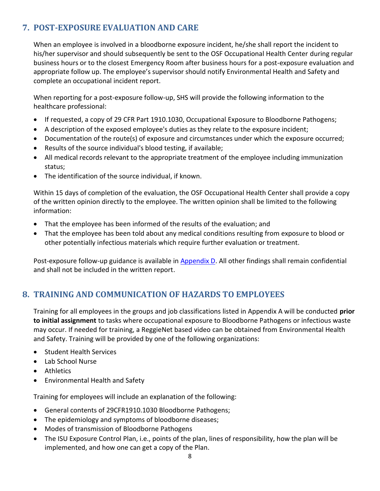## <span id="page-8-0"></span>**7. POST-EXPOSURE EVALUATION AND CARE**

When an employee is involved in a bloodborne exposure incident, he/she shall report the incident to his/her supervisor and should subsequently be sent to the OSF Occupational Health Center during regular business hours or to the closest Emergency Room after business hours for a post-exposure evaluation and appropriate follow up. The employee's supervisor should notify Environmental Health and Safety and complete an occupational incident report.

When reporting for a post-exposure follow-up, SHS will provide the following information to the healthcare professional:

- If requested, a copy of 29 CFR Part 1910.1030, Occupational Exposure to Bloodborne Pathogens;
- A description of the exposed employee's duties as they relate to the exposure incident;
- Documentation of the route(s) of exposure and circumstances under which the exposure occurred;
- Results of the source individual's blood testing, if available;
- All medical records relevant to the appropriate treatment of the employee including immunization status;
- The identification of the source individual, if known.

Within 15 days of completion of the evaluation, the OSF Occupational Health Center shall provide a copy of the written opinion directly to the employee. The written opinion shall be limited to the following information:

- That the employee has been informed of the results of the evaluation; and
- That the employee has been told about any medical conditions resulting from exposure to blood or other potentially infectious materials which require further evaluation or treatment.

Post-exposure follow-up guidance is available i[n Appendix D.](#page-13-0) All other findings shall remain confidential and shall not be included in the written report.

## <span id="page-8-1"></span>**8. TRAINING AND COMMUNICATION OF HAZARDS TO EMPLOYEES**

Training for all employees in the groups and job classifications listed in Appendix A will be conducted **prior to initial assignment** to tasks where occupational exposure to Bloodborne Pathogens or infectious waste may occur. If needed for training, a ReggieNet based video can be obtained from Environmental Health and Safety. Training will be provided by one of the following organizations:

- Student Health Services
- Lab School Nurse
- Athletics
- Environmental Health and Safety

Training for employees will include an explanation of the following:

- General contents of 29CFR1910.1030 Bloodborne Pathogens;
- The epidemiology and symptoms of bloodborne diseases;
- Modes of transmission of Bloodborne Pathogens
- The ISU Exposure Control Plan, i.e., points of the plan, lines of responsibility, how the plan will be implemented, and how one can get a copy of the Plan.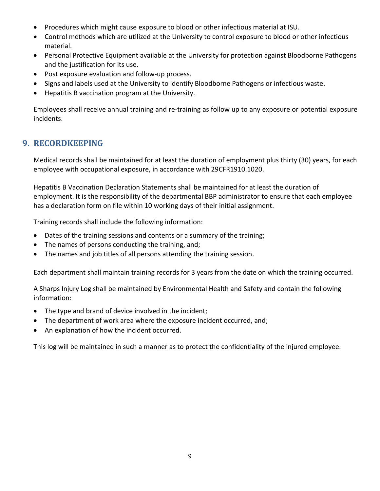- Procedures which might cause exposure to blood or other infectious material at ISU.
- Control methods which are utilized at the University to control exposure to blood or other infectious material.
- Personal Protective Equipment available at the University for protection against Bloodborne Pathogens and the justification for its use.
- Post exposure evaluation and follow-up process.
- Signs and labels used at the University to identify Bloodborne Pathogens or infectious waste.
- Hepatitis B vaccination program at the University.

Employees shall receive annual training and re-training as follow up to any exposure or potential exposure incidents.

## <span id="page-9-0"></span>**9. RECORDKEEPING**

Medical records shall be maintained for at least the duration of employment plus thirty (30) years, for each employee with occupational exposure, in accordance with 29CFR1910.1020.

Hepatitis B Vaccination Declaration Statements shall be maintained for at least the duration of employment. It is the responsibility of the departmental BBP administrator to ensure that each employee has a declaration form on file within 10 working days of their initial assignment.

Training records shall include the following information:

- Dates of the training sessions and contents or a summary of the training;
- The names of persons conducting the training, and;
- The names and job titles of all persons attending the training session.

Each department shall maintain training records for 3 years from the date on which the training occurred.

A Sharps Injury Log shall be maintained by Environmental Health and Safety and contain the following information:

- The type and brand of device involved in the incident;
- The department of work area where the exposure incident occurred, and;
- An explanation of how the incident occurred.

This log will be maintained in such a manner as to protect the confidentiality of the injured employee.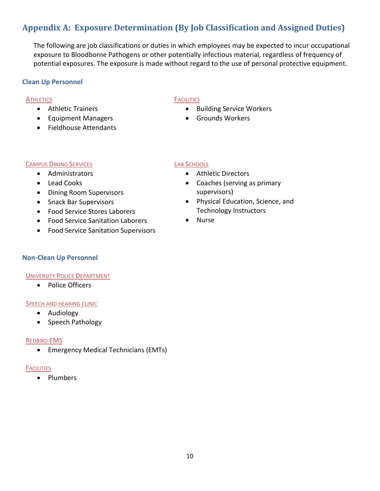## <span id="page-10-0"></span>**Appendix A: Exposure Determination (By Job Classification and Assigned Duties)**

The following are job classifications or duties in which employees may be expected to incur occupational exposure to Bloodborne Pathogens or other potentially infectious material, regardless of frequency of potential exposures. The exposure is made without regard to the use of personal protective equipment.

#### **Clean Up Personnel**

#### **ATHLETICS**

- Athletic Trainers
- Equipment Managers
- Fieldhouse Attendants

#### **FACILITIES**

- Building Service Workers
- Grounds Workers

#### CAMPUS DINING SERVICES

- Administrators
- Lead Cooks
- Dining Room Supervisors
- Snack Bar Supervisors
- Food Service Stores Laborers
- Food Service Sanitation Laborers
- Food Service Sanitation Supervisors

#### LAB SCHOOLS

- Athletic Directors
- Coaches (serving as primary supervisors)
- Physical Education, Science, and Technology Instructors
- Nurse

#### **Non-Clean Up Personnel**

#### UNIVERSITY POLICE DEPARTMENT

• Police Officers

#### **SPEECH AND HEARING CLINIC**

- Audiology
- Speech Pathology

#### REDBIRD EMS

• Emergency Medical Technicians (EMTs)

#### **FACILITIES**

• Plumbers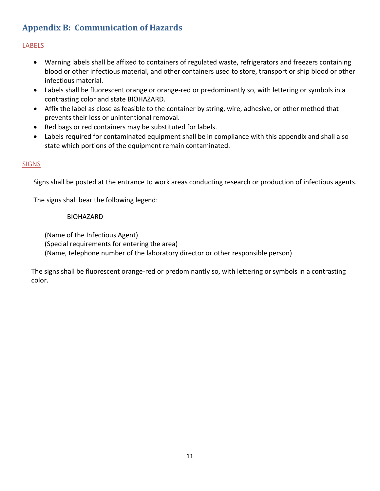## <span id="page-11-0"></span>**Appendix B: Communication of Hazards**

#### LABELS

- Warning labels shall be affixed to containers of regulated waste, refrigerators and freezers containing blood or other infectious material, and other containers used to store, transport or ship blood or other infectious material.
- Labels shall be fluorescent orange or orange-red or predominantly so, with lettering or symbols in a contrasting color and state BIOHAZARD.
- Affix the label as close as feasible to the container by string, wire, adhesive, or other method that prevents their loss or unintentional removal.
- Red bags or red containers may be substituted for labels.
- Labels required for contaminated equipment shall be in compliance with this appendix and shall also state which portions of the equipment remain contaminated.

#### **SIGNS**

Signs shall be posted at the entrance to work areas conducting research or production of infectious agents.

The signs shall bear the following legend:

#### BIOHAZARD

(Name of the Infectious Agent) (Special requirements for entering the area) (Name, telephone number of the laboratory director or other responsible person)

The signs shall be fluorescent orange-red or predominantly so, with lettering or symbols in a contrasting color.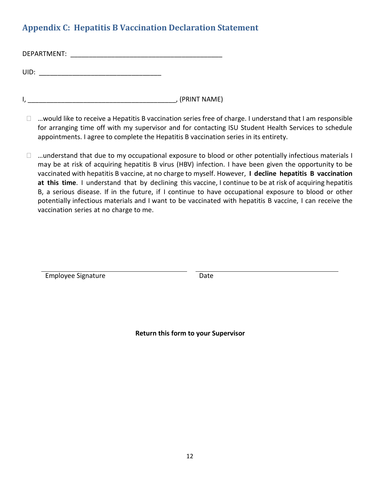## <span id="page-12-0"></span>**Appendix C: Hepatitis B Vaccination Declaration Statement**

| DEPARTMENT: |  |  |
|-------------|--|--|
|             |  |  |
| UID:        |  |  |

I, \_\_\_\_\_\_\_\_\_\_\_\_\_\_\_\_\_\_\_\_\_\_\_\_\_\_\_\_\_\_\_\_\_\_\_\_\_\_\_\_, (PRINT NAME)

- $\Box$  ... would like to receive a Hepatitis B vaccination series free of charge. I understand that I am responsible for arranging time off with my supervisor and for contacting ISU Student Health Services to schedule appointments. I agree to complete the Hepatitis B vaccination series in its entirety.
- $\Box$  ...understand that due to my occupational exposure to blood or other potentially infectious materials I may be at risk of acquiring hepatitis B virus (HBV) infection. I have been given the opportunity to be vaccinated with hepatitis B vaccine, at no charge to myself. However, **I decline hepatitis B vaccination at this time**. I understand that by declining this vaccine, I continue to be at risk of acquiring hepatitis B, a serious disease. If in the future, if I continue to have occupational exposure to blood or other potentially infectious materials and I want to be vaccinated with hepatitis B vaccine, I can receive the vaccination series at no charge to me.

Employee Signature Date

**Return this form to your Supervisor**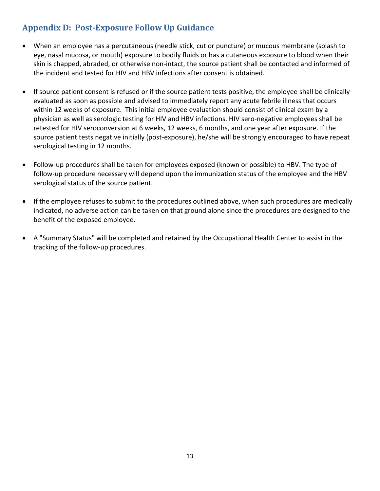## <span id="page-13-0"></span>**Appendix D: Post-Exposure Follow Up Guidance**

- When an employee has a percutaneous (needle stick, cut or puncture) or mucous membrane (splash to eye, nasal mucosa, or mouth) exposure to bodily fluids or has a cutaneous exposure to blood when their skin is chapped, abraded, or otherwise non-intact, the source patient shall be contacted and informed of the incident and tested for HIV and HBV infections after consent is obtained.
- If source patient consent is refused or if the source patient tests positive, the employee shall be clinically evaluated as soon as possible and advised to immediately report any acute febrile illness that occurs within 12 weeks of exposure. This initial employee evaluation should consist of clinical exam by a physician as well as serologic testing for HIV and HBV infections. HIV sero-negative employees shall be retested for HIV seroconversion at 6 weeks, 12 weeks, 6 months, and one year after exposure. If the source patient tests negative initially (post-exposure), he/she will be strongly encouraged to have repeat serological testing in 12 months.
- Follow-up procedures shall be taken for employees exposed (known or possible) to HBV. The type of follow-up procedure necessary will depend upon the immunization status of the employee and the HBV serological status of the source patient.
- If the employee refuses to submit to the procedures outlined above, when such procedures are medically indicated, no adverse action can be taken on that ground alone since the procedures are designed to the benefit of the exposed employee.
- A "Summary Status" will be completed and retained by the Occupational Health Center to assist in the tracking of the follow-up procedures.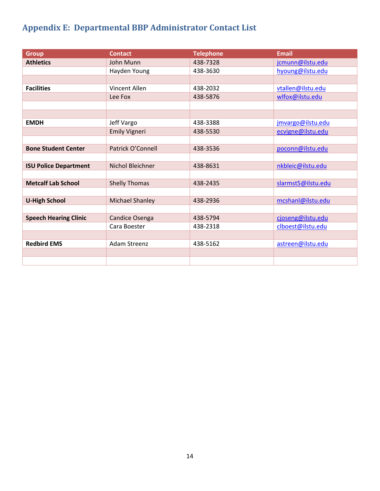## <span id="page-14-0"></span>**Appendix E: Departmental BBP Administrator Contact List**

| <b>Group</b>                 | <b>Contact</b>         | <b>Telephone</b> | <b>Email</b>       |
|------------------------------|------------------------|------------------|--------------------|
| <b>Athletics</b>             | John Munn              | 438-7328         | jcmunn@ilstu.edu   |
|                              | Hayden Young           | 438-3630         | hyoung@ilstu.edu   |
|                              |                        |                  |                    |
| <b>Facilities</b>            | <b>Vincent Allen</b>   | 438-2032         | vtallen@ilstu.edu  |
|                              | Lee Fox                | 438-5876         | wlfox@ilstu.edu    |
|                              |                        |                  |                    |
|                              |                        |                  |                    |
| <b>EMDH</b>                  | Jeff Vargo             | 438-3388         | jmvargo@ilstu.edu  |
|                              | <b>Emily Vigneri</b>   | 438-5530         | ecvigne@ilstu.edu  |
|                              |                        |                  |                    |
| <b>Bone Student Center</b>   | Patrick O'Connell      | 438-3536         | poconn@ilstu.edu   |
|                              |                        |                  |                    |
| <b>ISU Police Department</b> | Nichol Bleichner       | 438-8631         | nkbleic@ilstu.edu  |
|                              |                        |                  |                    |
| <b>Metcalf Lab School</b>    | <b>Shelly Thomas</b>   | 438-2435         | slarmst5@ilstu.edu |
|                              |                        |                  |                    |
| <b>U-High School</b>         | <b>Michael Shanley</b> | 438-2936         | mcshanl@ilstu.edu  |
|                              |                        |                  |                    |
| <b>Speech Hearing Clinic</b> | Candice Osenga         | 438-5794         | cjoseng@ilstu.edu  |
|                              | Cara Boester           | 438-2318         | clboest@ilstu.edu  |
|                              |                        |                  |                    |
| <b>Redbird EMS</b>           | <b>Adam Streenz</b>    | 438-5162         | astreen@ilstu.edu  |
|                              |                        |                  |                    |
|                              |                        |                  |                    |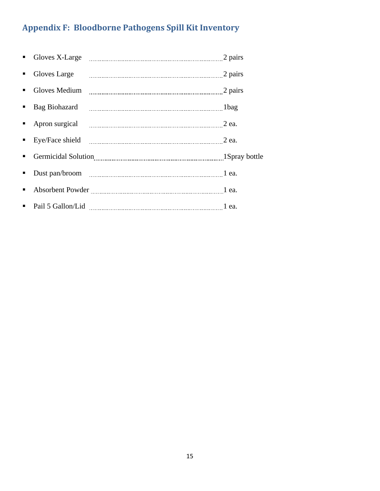# <span id="page-15-0"></span>**Appendix F: Bloodborne Pathogens Spill Kit Inventory**

| ٠              |               | Gloves X-Large manual measurement and pairs 2 pairs                                                                                                                                                                            |  |
|----------------|---------------|--------------------------------------------------------------------------------------------------------------------------------------------------------------------------------------------------------------------------------|--|
| ٠              | Gloves Large  |                                                                                                                                                                                                                                |  |
|                |               |                                                                                                                                                                                                                                |  |
| $\blacksquare$ | Bag Biohazard |                                                                                                                                                                                                                                |  |
|                |               |                                                                                                                                                                                                                                |  |
|                |               |                                                                                                                                                                                                                                |  |
| п              |               | Germicidal Solution 2000 and 2000 and 2000 and 2000 and 2000 and 2000 and 2000 and 2000 and 2000 and 2000 and 2000 and 2000 and 2000 and 2000 and 2000 and 2000 and 2000 and 2000 and 2000 and 2000 and 2000 and 2000 and 2000 |  |
| ٠              |               |                                                                                                                                                                                                                                |  |
| ٠              |               |                                                                                                                                                                                                                                |  |
| п.             |               |                                                                                                                                                                                                                                |  |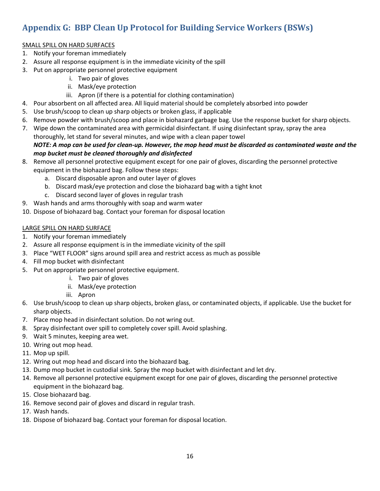## <span id="page-16-0"></span>**Appendix G: BBP Clean Up Protocol for Building Service Workers (BSWs)**

#### SMALL SPILL ON HARD SURFACES

- 1. Notify your foreman immediately
- 2. Assure all response equipment is in the immediate vicinity of the spill
- 3. Put on appropriate personnel protective equipment
	- i. Two pair of gloves
	- ii. Mask/eye protection
	- iii. Apron (if there is a potential for clothing contamination)
- 4. Pour absorbent on all affected area. All liquid material should be completely absorbed into powder
- 5. Use brush/scoop to clean up sharp objects or broken glass, if applicable
- 6. Remove powder with brush/scoop and place in biohazard garbage bag. Use the response bucket for sharp objects.
- 7. Wipe down the contaminated area with germicidal disinfectant. If using disinfectant spray, spray the area thoroughly, let stand for several minutes, and wipe with a clean paper towel

#### *NOTE: A mop can be used for clean-up. However, the mop head must be discarded as contaminated waste and the mop bucket must be cleaned thoroughly and disinfected*

- 8. Remove all personnel protective equipment except for one pair of gloves, discarding the personnel protective equipment in the biohazard bag. Follow these steps:
	- a. Discard disposable apron and outer layer of gloves
	- b. Discard mask/eye protection and close the biohazard bag with a tight knot
	- c. Discard second layer of gloves in regular trash
- 9. Wash hands and arms thoroughly with soap and warm water
- 10. Dispose of biohazard bag. Contact your foreman for disposal location

#### LARGE SPILL ON HARD SURFACE

- 1. Notify your foreman immediately
- 2. Assure all response equipment is in the immediate vicinity of the spill
- 3. Place "WET FLOOR" signs around spill area and restrict access as much as possible
- 4. Fill mop bucket with disinfectant
- 5. Put on appropriate personnel protective equipment.
	- i. Two pair of gloves
	- ii. Mask/eye protection
	- iii. Apron
- 6. Use brush/scoop to clean up sharp objects, broken glass, or contaminated objects, if applicable. Use the bucket for sharp objects.
- 7. Place mop head in disinfectant solution. Do not wring out.
- 8. Spray disinfectant over spill to completely cover spill. Avoid splashing.
- 9. Wait 5 minutes, keeping area wet.
- 10. Wring out mop head.
- 11. Mop up spill.
- 12. Wring out mop head and discard into the biohazard bag.
- 13. Dump mop bucket in custodial sink. Spray the mop bucket with disinfectant and let dry.
- 14. Remove all personnel protective equipment except for one pair of gloves, discarding the personnel protective equipment in the biohazard bag.
- 15. Close biohazard bag.
- 16. Remove second pair of gloves and discard in regular trash.
- 17. Wash hands.
- 18. Dispose of biohazard bag. Contact your foreman for disposal location.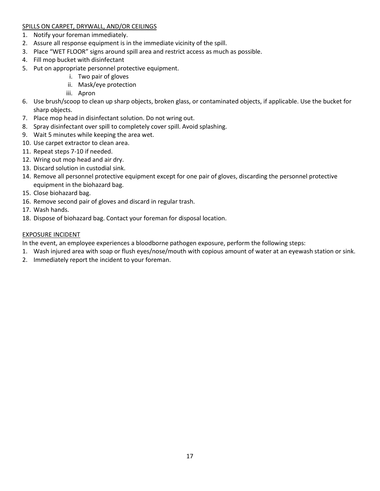#### SPILLS ON CARPET, DRYWALL, AND/OR CEILINGS

- 1. Notify your foreman immediately.
- 2. Assure all response equipment is in the immediate vicinity of the spill.
- 3. Place "WET FLOOR" signs around spill area and restrict access as much as possible.
- 4. Fill mop bucket with disinfectant
- 5. Put on appropriate personnel protective equipment.
	- i. Two pair of gloves
	- ii. Mask/eye protection
	- iii. Apron
- 6. Use brush/scoop to clean up sharp objects, broken glass, or contaminated objects, if applicable. Use the bucket for sharp objects.
- 7. Place mop head in disinfectant solution. Do not wring out.
- 8. Spray disinfectant over spill to completely cover spill. Avoid splashing.
- 9. Wait 5 minutes while keeping the area wet.
- 10. Use carpet extractor to clean area.
- 11. Repeat steps 7-10 if needed.
- 12. Wring out mop head and air dry.
- 13. Discard solution in custodial sink.
- 14. Remove all personnel protective equipment except for one pair of gloves, discarding the personnel protective equipment in the biohazard bag.
- 15. Close biohazard bag.
- 16. Remove second pair of gloves and discard in regular trash.
- 17. Wash hands.
- 18. Dispose of biohazard bag. Contact your foreman for disposal location.

#### EXPOSURE INCIDENT

In the event, an employee experiences a bloodborne pathogen exposure, perform the following steps:

- 1. Wash injured area with soap or flush eyes/nose/mouth with copious amount of water at an eyewash station or sink.
- 2. Immediately report the incident to your foreman.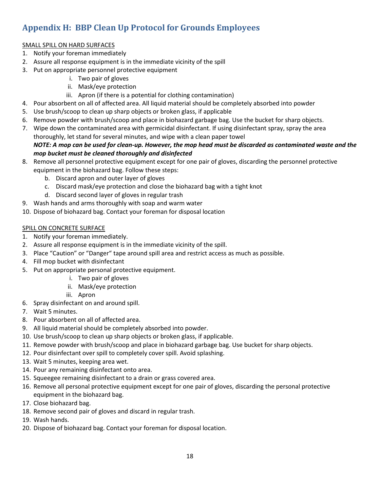## <span id="page-18-0"></span>**Appendix H: BBP Clean Up Protocol for Grounds Employees**

#### SMALL SPILL ON HARD SURFACES

- 1. Notify your foreman immediately
- 2. Assure all response equipment is in the immediate vicinity of the spill
- 3. Put on appropriate personnel protective equipment
	- i. Two pair of gloves
	- ii. Mask/eye protection
	- iii. Apron (if there is a potential for clothing contamination)
- 4. Pour absorbent on all of affected area. All liquid material should be completely absorbed into powder
- 5. Use brush/scoop to clean up sharp objects or broken glass, if applicable
- 6. Remove powder with brush/scoop and place in biohazard garbage bag. Use the bucket for sharp objects.
- 7. Wipe down the contaminated area with germicidal disinfectant. If using disinfectant spray, spray the area thoroughly, let stand for several minutes, and wipe with a clean paper towel

#### *NOTE: A mop can be used for clean-up. However, the mop head must be discarded as contaminated waste and the mop bucket must be cleaned thoroughly and disinfected*

- 8. Remove all personnel protective equipment except for one pair of gloves, discarding the personnel protective equipment in the biohazard bag. Follow these steps:
	- b. Discard apron and outer layer of gloves
	- c. Discard mask/eye protection and close the biohazard bag with a tight knot
	- d. Discard second layer of gloves in regular trash
- 9. Wash hands and arms thoroughly with soap and warm water
- 10. Dispose of biohazard bag. Contact your foreman for disposal location

#### SPILL ON CONCRETE SURFACE

- 1. Notify your foreman immediately.
- 2. Assure all response equipment is in the immediate vicinity of the spill.
- 3. Place "Caution" or "Danger" tape around spill area and restrict access as much as possible.
- 4. Fill mop bucket with disinfectant
- 5. Put on appropriate personal protective equipment.
	- i. Two pair of gloves
	- ii. Mask/eye protection
		- iii. Apron
- 6. Spray disinfectant on and around spill.
- 7. Wait 5 minutes.
- 8. Pour absorbent on all of affected area.
- 9. All liquid material should be completely absorbed into powder.
- 10. Use brush/scoop to clean up sharp objects or broken glass, if applicable.
- 11. Remove powder with brush/scoop and place in biohazard garbage bag. Use bucket for sharp objects.
- 12. Pour disinfectant over spill to completely cover spill. Avoid splashing.
- 13. Wait 5 minutes, keeping area wet.
- 14. Pour any remaining disinfectant onto area.
- 15. Squeegee remaining disinfectant to a drain or grass covered area.
- 16. Remove all personal protective equipment except for one pair of gloves, discarding the personal protective equipment in the biohazard bag.
- 17. Close biohazard bag.
- 18. Remove second pair of gloves and discard in regular trash.
- 19. Wash hands.
- 20. Dispose of biohazard bag. Contact your foreman for disposal location.